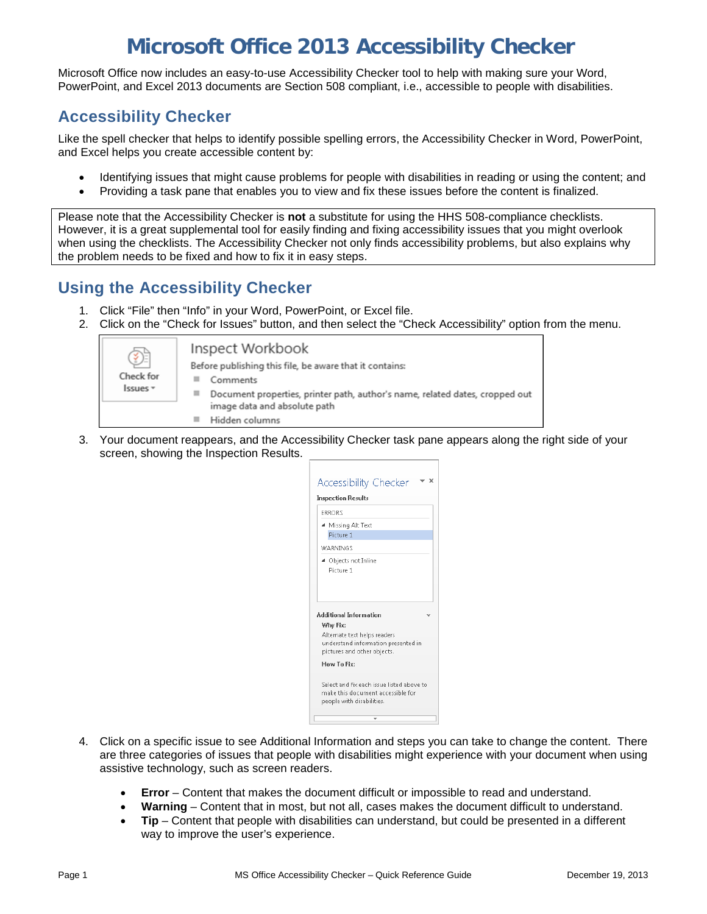# **Microsoft Office 2013 Accessibility Checker**

Microsoft Office now includes an easy-to-use Accessibility Checker tool to help with making sure your Word, PowerPoint, and Excel 2013 documents are Section 508 compliant, i.e., accessible to people with disabilities.

#### **Accessibility Checker**

Like the spell checker that helps to identify possible spelling errors, the Accessibility Checker in Word, PowerPoint, and Excel helps you create accessible content by:

- Identifying issues that might cause problems for people with disabilities in reading or using the content; and
- Providing a task pane that enables you to view and fix these issues before the content is finalized.

Please note that the Accessibility Checker is **not** a substitute for using the HHS 508-compliance checklists. However, it is a great supplemental tool for easily finding and fixing accessibility issues that you might overlook when using the checklists. The Accessibility Checker not only finds accessibility problems, but also explains why the problem needs to be fixed and how to fix it in easy steps.

### **Using the Accessibility Checker**

- 1. Click "File" then "Info" in your Word, PowerPoint, or Excel file.
- 2. Click on the "Check for Issues" button, and then select the "Check Accessibility" option from the menu.



3. Your document reappears, and the Accessibility Checker task pane appears along the right side of your screen, showing the Inspection Results.

| <b>Inspection Results</b>                                                                                      |  |
|----------------------------------------------------------------------------------------------------------------|--|
| <b>FRRORS</b>                                                                                                  |  |
| ▲ Missing Alt Text<br>Picture 1                                                                                |  |
| <b>WARNINGS</b>                                                                                                |  |
| ▲ Objects not Inline<br>Picture 1                                                                              |  |
|                                                                                                                |  |
| <b>Additional Information</b>                                                                                  |  |
| Why Fix:<br>Alternate text helps readers<br>understand information presented in<br>pictures and other objects. |  |
| How To Fix:                                                                                                    |  |
| Select and fix each issue listed above to<br>make this document accessible for<br>people with disabilities.    |  |

- 4. Click on a specific issue to see Additional Information and steps you can take to change the content. There are three categories of issues that people with disabilities might experience with your document when using assistive technology, such as screen readers.
	- **Error**  Content that makes the document difficult or impossible to read and understand.
	- **Warning**  Content that in most, but not all, cases makes the document difficult to understand.
	- **Tip**  Content that people with disabilities can understand, but could be presented in a different way to improve the user's experience.